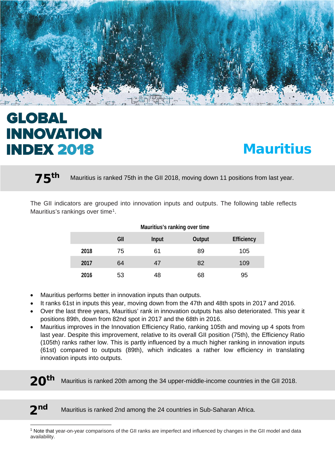

# **GLOBAL INNOVATION INDEX 2018**

# **Mauritius**

75<sup>th</sup> Mauritius is ranked 75th in the GII 2018, moving down 11 positions from last year.

The GII indicators are grouped into innovation inputs and outputs. The following table reflects Mauritius's rankings over time<sup>1</sup>.

| <b>Mauritius's ranking over time</b> |     |              |               |                   |  |
|--------------------------------------|-----|--------------|---------------|-------------------|--|
|                                      | GII | <b>Input</b> | <b>Output</b> | <b>Efficiency</b> |  |
| 2018                                 | 75  | 61           | 89            | 105               |  |
| 2017                                 | 64  | 47           | 82            | 109               |  |
| 2016                                 | 53  | 48           | 68            | 95                |  |

- Mauritius performs better in innovation inputs than outputs.
- It ranks 61st in inputs this year, moving down from the 47th and 48th spots in 2017 and 2016.
- Over the last three years, Mauritius' rank in innovation outputs has also deteriorated. This year it positions 89th, down from 82nd spot in 2017 and the 68th in 2016.
- Mauritius improves in the Innovation Efficiency Ratio, ranking 105th and moving up 4 spots from last year. Despite this improvement, relative to its overall GII position (75th), the Efficiency Ratio (105th) ranks rather low. This is partly influenced by a much higher ranking in innovation inputs (61st) compared to outputs (89th), which indicates a rather low efficiency in translating innovation inputs into outputs.
- $20<sup>tn</sup>$  Mauritius is ranked 20th among the 34 upper-middle-income countries in the GII 2018.

l

2<sup>nd</sup> Mauritius is ranked 2nd among the 24 countries in Sub-Saharan Africa.

<span id="page-0-0"></span><sup>1</sup> Note that year-on-year comparisons of the GII ranks are imperfect and influenced by changes in the GII model and data availability.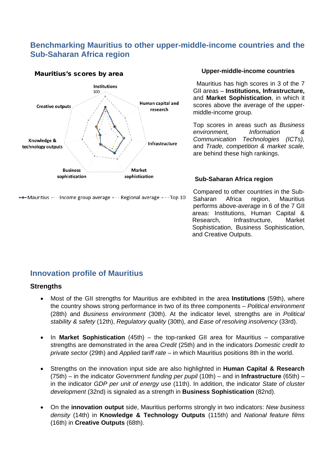## **Benchmarking Mauritius to other upper-middle-income countries and the Sub-Saharan Africa region**

#### Mauritius's scores by area



•• Mauritius • Income group average • · · Regional average • - - Top 10

#### **Upper-middle-income countries**

Mauritius has high scores in 3 of the 7 GII areas – **Institutions, Infrastructure,**  and **Market Sophistication**, in which it scores above the average of the uppermiddle-income group.

Top scores in areas such as *Business environment, Information & Communication Technologies (ICTs),*  and *Trade, competition & market scale,* are behind these high rankings.

#### **Sub-Saharan Africa region**

Compared to other countries in the Sub-Saharan Africa region, Mauritius performs above-average in 6 of the 7 GII areas: Institutions, Human Capital & Research, Infrastructure, Market Sophistication, Business Sophistication, and Creative Outputs.

### **Innovation profile of Mauritius**

#### **Strengths**

- Most of the GII strengths for Mauritius are exhibited in the area **Institutions** (59th), where the country shows strong performance in two of its three components – *Political environment* (28th) and *Business environment* (30th). At the indicator level, strengths are in *Political stability & safety* (12th), *Regulatory quality* (30th), and *Ease of resolving insolvency* (33rd).
- In **Market Sophistication** (45th) the top-ranked GII area for Mauritius comparative strengths are demonstrated in the area *Credit* (25th) and in the indicators *Domestic credit to private sector* (29th) and *Applied tariff rate* – in which Mauritius positions 8th in the world.
- Strengths on the innovation input side are also highlighted in **Human Capital & Research** (75th) – in the indicator *Government funding per pupil* (10th) – and in **Infrastructure** (65th) – in the indicator *GDP per unit of energy use* (11th). In addition, the indicator *State of cluster development* (32nd) is signaled as a strength in **Business Sophistication** (82nd).
- On the **innovation output** side, Mauritius performs strongly in two indicators: *New business density* (14th) in **Knowledge & Technology Outputs** (115th) and *National feature films* (16th) in **Creative Outputs** (68th).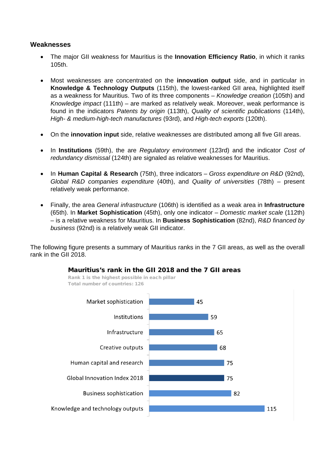#### **Weaknesses**

- The major GII weakness for Mauritius is the **Innovation Efficiency Ratio**, in which it ranks 105th.
- Most weaknesses are concentrated on the **innovation output** side, and in particular in **Knowledge & Technology Outputs** (115th), the lowest-ranked GII area, highlighted itself as a weakness for Mauritius. Two of its three components – *Knowledge creation* (105th) and *Knowledge impact* (111th) – are marked as relatively weak. Moreover, weak performance is found in the indicators *Patents by origin* (113th), *Quality of scientific publications* (114th), *High- & medium-high-tech manufactures* (93rd), and *High-tech exports* (120th).
- On the **innovation input** side, relative weaknesses are distributed among all five GII areas.
- In **Institutions** (59th), the are *Regulatory environment* (123rd) and the indicator *Cost of redundancy dismissal* (124th) are signaled as relative weaknesses for Mauritius.
- In **Human Capital & Research** (75th), three indicators *Gross expenditure on R&D* (92nd), *Global R&D companies expenditure* (40th), and *Quality of universities* (78th) – present relatively weak performance.
- Finally, the area *General infrastructure* (106th) is identified as a weak area in **Infrastructure** (65th). In **Market Sophistication** (45th), only one indicator – *Domestic market scale* (112th) – is a relative weakness for Mauritius. In **Business Sophistication** (82nd), *R&D financed by business* (92nd) is a relatively weak GII indicator.

The following figure presents a summary of Mauritius ranks in the 7 GII areas, as well as the overall rank in the GII 2018.



#### Mauritius's rank in the GII 2018 and the 7 GII areas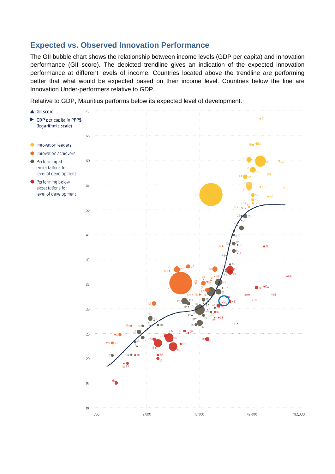## **Expected vs. Observed Innovation Performance**

The GII bubble chart shows the relationship between income levels (GDP per capita) and innovation performance (GII score). The depicted trendline gives an indication of the expected innovation performance at different levels of income. Countries located above the trendline are performing better that what would be expected based on their income level. Countries below the line are Innovation Under-performers relative to GDP.

Relative to GDP, Mauritius performs below its expected level of development.

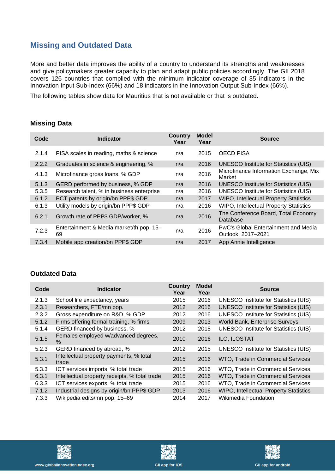# **Missing and Outdated Data**

More and better data improves the ability of a country to understand its strengths and weaknesses and give policymakers greater capacity to plan and adapt public policies accordingly. The GII 2018 covers 126 countries that complied with the minimum indicator coverage of 35 indicators in the Innovation Input Sub-Index (66%) and 18 indicators in the Innovation Output Sub-Index (66%).

The following tables show data for Mauritius that is not available or that is outdated.

#### **Missing Data**

| Code  | <b>Indicator</b>                               | <b>Country</b><br>Year | <b>Model</b><br>Year | <b>Source</b>                                              |
|-------|------------------------------------------------|------------------------|----------------------|------------------------------------------------------------|
| 2.1.4 | PISA scales in reading, maths & science        | n/a                    | 2015                 | <b>OECD PISA</b>                                           |
| 2.2.2 | Graduates in science & engineering, %          | n/a                    | 2016                 | <b>UNESCO Institute for Statistics (UIS)</b>               |
| 4.1.3 | Microfinance gross loans, % GDP                | n/a                    | 2016                 | Microfinance Information Exchange, Mix<br>Market           |
| 5.1.3 | GERD performed by business, % GDP              | n/a                    | 2016                 | <b>UNESCO Institute for Statistics (UIS)</b>               |
| 5.3.5 | Research talent, % in business enterprise      | n/a                    | 2016                 | <b>UNESCO Institute for Statistics (UIS)</b>               |
| 6.1.2 | PCT patents by origin/bn PPP\$ GDP             | n/a                    | 2017                 | <b>WIPO, Intellectual Property Statistics</b>              |
| 6.1.3 | Utility models by origin/bn PPP\$ GDP          | n/a                    | 2016                 | <b>WIPO, Intellectual Property Statistics</b>              |
| 6.2.1 | Growth rate of PPP\$ GDP/worker, %             | n/a                    | 2016                 | The Conference Board, Total Economy<br>Database            |
| 7.2.3 | Entertainment & Media market/th pop. 15-<br>69 | n/a                    | 2016                 | PwC's Global Entertainment and Media<br>Outlook, 2017-2021 |
| 7.3.4 | Mobile app creation/bn PPP\$ GDP               | n/a                    | 2017                 | App Annie Intelligence                                     |

#### **Outdated Data**

| Code  | <b>Indicator</b>                                 | <b>Country</b><br>Year | <b>Model</b><br>Year | <b>Source</b>                                 |
|-------|--------------------------------------------------|------------------------|----------------------|-----------------------------------------------|
| 2.1.3 | School life expectancy, years                    | 2015                   | 2016                 | <b>UNESCO Institute for Statistics (UIS)</b>  |
| 2.3.1 | Researchers, FTE/mn pop.                         | 2012                   | 2016                 | <b>UNESCO Institute for Statistics (UIS)</b>  |
| 2.3.2 | Gross expenditure on R&D, % GDP                  | 2012                   | 2016                 | <b>UNESCO Institute for Statistics (UIS)</b>  |
| 5.1.2 | Firms offering formal training, % firms          | 2009                   | 2013                 | World Bank, Enterprise Surveys                |
| 5.1.4 | GERD financed by business, %                     | 2012                   | 2015                 | <b>UNESCO Institute for Statistics (UIS)</b>  |
| 5.1.5 | Females employed w/advanced degrees,<br>$\%$     | 2010                   | 2016                 | ILO, ILOSTAT                                  |
| 5.2.3 | GERD financed by abroad, %                       | 2012                   | 2015                 | <b>UNESCO Institute for Statistics (UIS)</b>  |
| 5.3.1 | Intellectual property payments, % total<br>trade | 2015                   | 2016                 | WTO, Trade in Commercial Services             |
| 5.3.3 | ICT services imports, % total trade              | 2015                   | 2016                 | WTO, Trade in Commercial Services             |
| 6.3.1 | Intellectual property receipts, % total trade    | 2015                   | 2016                 | WTO, Trade in Commercial Services             |
| 6.3.3 | ICT services exports, % total trade              | 2015                   | 2016                 | WTO, Trade in Commercial Services             |
| 7.1.2 | Industrial designs by origin/bn PPP\$ GDP        | 2013                   | 2016                 | <b>WIPO, Intellectual Property Statistics</b> |
| 7.3.3 | Wikipedia edits/mn pop. 15-69                    | 2014                   | 2017                 | Wikimedia Foundation                          |







**GII app for android**